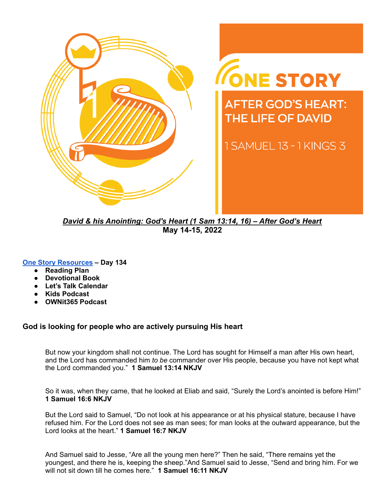

# ONE STORY

**AFTER GOD'S HEART: THE LIFE OF DAVID** 

1 SAMUEL 13 - 1 KINGS 3

*David & his Anointing: God's Heart (1 Sam 13:14, 16) – After God's Heart* **May 14-15, 2022**

#### **One Story [Resources](https://visitgracechurch.com/onestory) – Day 134**

- **Reading Plan**
- **● Devotional Book**
- **Let's Talk Calendar**
- **Kids Podcast**
- **● OWNit365 Podcast**

#### **God is looking for people who are actively pursuing His heart**

But now your kingdom shall not continue. The Lord has sought for Himself a man after His own heart, and the Lord has commanded him *to be* commander over His people, because you have not kept what the Lord commanded you." **1 Samuel 13:14 NKJV**

So it was, when they came, that he looked at Eliab and said, "Surely the Lord's anointed is before Him!" **1 Samuel 16:6 NKJV**

But the Lord said to Samuel, "Do not look at his appearance or at his physical stature, because I have refused him. For the Lord does not see as man sees; for man looks at the outward appearance, but the Lord looks at the heart." **1 Samuel 16:7 NKJV**

And Samuel said to Jesse, "Are all the young men here?" Then he said, "There remains yet the youngest, and there he is, keeping the sheep."And Samuel said to Jesse, "Send and bring him. For we will not sit down till he comes here." **1 Samuel 16:11 NKJV**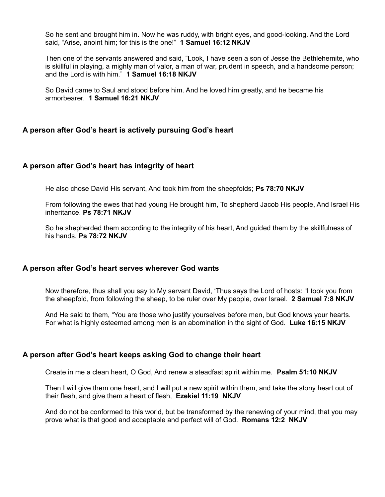So he sent and brought him in. Now he was ruddy, with bright eyes, and good-looking. And the Lord said, "Arise, anoint him; for this is the one!" **1 Samuel 16:12 NKJV**

Then one of the servants answered and said, "Look, I have seen a son of Jesse the Bethlehemite, who is skillful in playing, a mighty man of valor, a man of war, prudent in speech, and a handsome person; and the Lord is with him." **1 Samuel 16:18 NKJV**

So David came to Saul and stood before him. And he loved him greatly, and he became his armorbearer. **1 Samuel 16:21 NKJV**

#### **A person after God's heart is actively pursuing God's heart**

#### **A person after God's heart has integrity of heart**

He also chose David His servant, And took him from the sheepfolds; **Ps 78:70 NKJV**

From following the ewes that had young He brought him, To shepherd Jacob His people, And Israel His inheritance. **Ps 78:71 NKJV**

So he shepherded them according to the integrity of his heart, And guided them by the skillfulness of his hands. **Ps 78:72 NKJV**

#### **A person after God's heart serves wherever God wants**

Now therefore, thus shall you say to My servant David, 'Thus says the Lord of hosts: "I took you from the sheepfold, from following the sheep, to be ruler over My people, over Israel. **2 Samuel 7:8 NKJV**

And He said to them, "You are those who justify yourselves before men, but God knows your hearts. For what is highly esteemed among men is an abomination in the sight of God. **Luke 16:15 NKJV**

#### **A person after God's heart keeps asking God to change their heart**

Create in me a clean heart, O God, And renew a steadfast spirit within me. **Psalm 51:10 NKJV**

Then I will give them one heart, and I will put a new spirit within them, and take the stony heart out of their flesh, and give them a heart of flesh, **Ezekiel 11:19 NKJV**

And do not be conformed to this world, but be transformed by the renewing of your mind, that you may prove what is that good and acceptable and perfect will of God. **Romans 12:2 NKJV**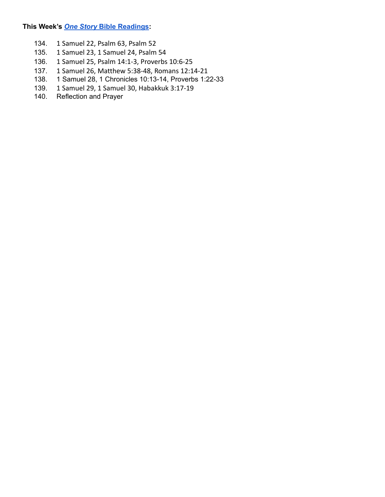### **This Week's** *One Story* **Bible [Readings:](http://visitgracechurch.com/onestory)**

- 134. 1 Samuel 22, Psalm 63, Psalm 52<br>135. 1 Samuel 23, 1 Samuel 24, Psalm
- 135. 1 Samuel 23, 1 Samuel 24, Psalm 54
- 136. 1 Samuel 25, Psalm 14:1-3, Proverbs 10:6-25
- 137. 1 Samuel 26, Matthew 5:38-48, Romans 12:14-21
- 138. 1 Samuel 28, 1 Chronicles 10:13-14, Proverbs 1:22-33
- 139. 1 Samuel 29, 1 Samuel 30, Habakkuk 3:17-19<br>140. Reflection and Prayer
- Reflection and Prayer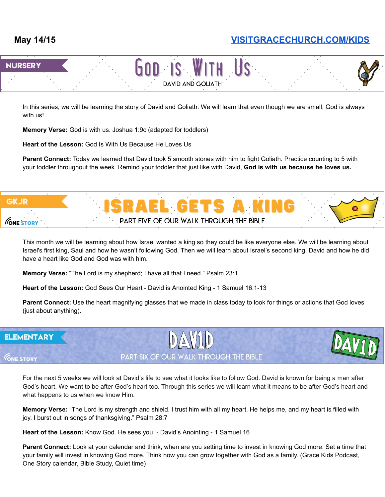

In this series, we will be learning the story of David and Goliath. We will learn that even though we are small, God is always with us!

**Memory Verse:** God is with us. Joshua 1:9c (adapted for toddlers)

**Heart of the Lesson:** God Is With Us Because He Loves Us

**Parent Connect:** Today we learned that David took 5 smooth stones with him to fight Goliath. Practice counting to 5 with your toddler throughout the week. Remind your toddler that just like with David, **God is with us because he loves us.**



This month we will be learning about how Israel wanted a king so they could be like everyone else. We will be learning about Israel's first king, Saul and how he wasn't following God. Then we will learn about Israel's second king, David and how he did have a heart like God and God was with him.

**Memory Verse:** "The Lord is my shepherd; I have all that I need." Psalm 23:1

**Heart of the Lesson:** God Sees Our Heart - David is Anointed King - 1 Samuel 16:1-13

**Parent Connect:** Use the heart magnifying glasses that we made in class today to look for things or actions that God loves (just about anything).

#### **ELEMENTARY**

**GNE STORY** 

## PART SIX OF OUR WALK THROUGH THE BIBLE

For the next 5 weeks we will look at David's life to see what it looks like to follow God. David is known for being a man after God's heart. We want to be after God's heart too. Through this series we will learn what it means to be after God's heart and what happens to us when we know Him.

**Memory Verse:** "The Lord is my strength and shield. I trust him with all my heart. He helps me, and my heart is filled with joy. I burst out in songs of thanksgiving." Psalm 28:7

**Heart of the Lesson:** Know God. He sees you. - David's Anointing - 1 Samuel 16

**Parent Connect:** Look at your calendar and think, when are you setting time to invest in knowing God more. Set a time that your family will invest in knowing God more. Think how you can grow together with God as a family. (Grace Kids Podcast, One Story calendar, Bible Study, Quiet time)